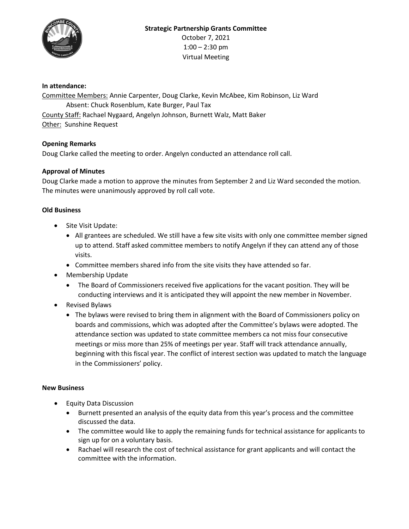

# **In attendance:**

Committee Members: Annie Carpenter, Doug Clarke, Kevin McAbee, Kim Robinson, Liz Ward Absent: Chuck Rosenblum, Kate Burger, Paul Tax County Staff: Rachael Nygaard, Angelyn Johnson, Burnett Walz, Matt Baker Other: Sunshine Request

### **Opening Remarks**

Doug Clarke called the meeting to order. Angelyn conducted an attendance roll call.

### **Approval of Minutes**

Doug Clarke made a motion to approve the minutes from September 2 and Liz Ward seconded the motion. The minutes were unanimously approved by roll call vote.

### **Old Business**

- Site Visit Update:
	- All grantees are scheduled. We still have a few site visits with only one committee member signed up to attend. Staff asked committee members to notify Angelyn if they can attend any of those visits.
	- Committee members shared info from the site visits they have attended so far.
- Membership Update
	- The Board of Commissioners received five applications for the vacant position. They will be conducting interviews and it is anticipated they will appoint the new member in November.
- Revised Bylaws
	- The bylaws were revised to bring them in alignment with the Board of Commissioners policy on boards and commissions, which was adopted after the Committee's bylaws were adopted. The attendance section was updated to state committee members ca not miss four consecutive meetings or miss more than 25% of meetings per year. Staff will track attendance annually, beginning with this fiscal year. The conflict of interest section was updated to match the language in the Commissioners' policy.

#### **New Business**

- Equity Data Discussion
	- Burnett presented an analysis of the equity data from this year's process and the committee discussed the data.
	- The committee would like to apply the remaining funds for technical assistance for applicants to sign up for on a voluntary basis.
	- Rachael will research the cost of technical assistance for grant applicants and will contact the committee with the information.